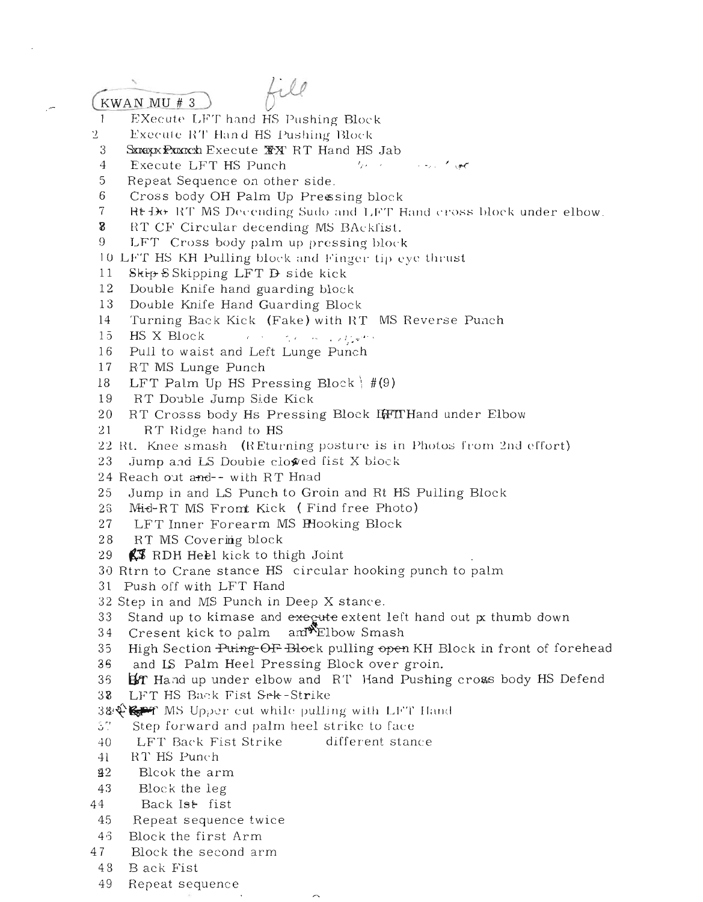## KWAN MU # 3

 $\sim$ 

file

 $\mathbf{1}$ EXecute LFT hand HS Pushing Block

- 2 Execute RT Hand HS Pushing Block
- 3
- $\overline{4}$ Execute LFT HS Punch
- 5 Repeat Sequence on other side.
- 6 Cross body OH Palm Up Pressing block
- $\overline{7}$ Rt Do RT MS Decending Sudo and LFT Hand cross block under elbow.

カーバー

and the contract

- $\bf{g}$ RT CF Circular decending MS BAckfist.
- 9 LFT Cross body palm up pressing block
- 10 LFT HS KH Pulling block and Finger tip eye thrust
- $11$ Skip SSkipping LFT D side kick
- 12 Double Knife hand guarding block
- 13 Double Knife Hand Guarding Block
- 14 Turning Back Kick (Fake) with RT MS Reverse Punch
- $15$ Contract of the most of Contract HS X Block
- 16 Pull to waist and Left Lunge Punch
- 17 RT MS Lunge Punch
- 18 LFT Palm Up HS Pressing Block  $\#(9)$
- 19 RT Double Jump Side Kick
- 20 RT Crosss body Hs Pressing Block LiFTTHand under Elbow  $21$ RT Ridge hand to HS
- 22 Rt. Knee smash (REturning posture is in Photos from 2nd effort)
- 23 Jump and LS Double clowed fist X block
- 24 Reach out and-- with RT Hnad
- 25 Jump in and LS Punch to Groin and Rt HS Pulling Block
- 26 Mid-RT MS Fromt Kick (Find free Photo)
- 27 LFT Inner Forearm MS Hooking Block
- RT MS Covering block  $2.8$
- 29 **KT** RDH Heel kick to thigh Joint
- 30 Rtrn to Crane stance HS circular hooking punch to palm
- 31 Push off with LFT Hand
- 32 Step in and MS Punch in Deep X stance.
- 33 Stand up to kimase and execute extent left hand out px thumb down
- and Elbow Smash 34 Cresent kick to palm
- 35 High Section Puing-OF-Block pulling open KH Block in front of forehead
- 36 and IS Palm Heel Pressing Block over groin.
- 35 BIT Hand up under elbow and RT Hand Pushing cross body HS Defend  $38$ LFT HS Back Fist Sek-Strike
- 3& Sep MS Upper cut while pulling with LFT Hand
- 57 Step forward and palm heel strike to face
- 40 LFT Back Fist Strike different stance
- RT HS Punch  $41$
- $2<sup>2</sup>$ Blcok the arm
- 43 Block the leg
- 44 Back Ist fist
- 45 Repeat sequence twice
- $4\,$   $3$ Block the first Arm
- 47 Block the second arm
- 48 Back Fist
- Repeat sequence 49